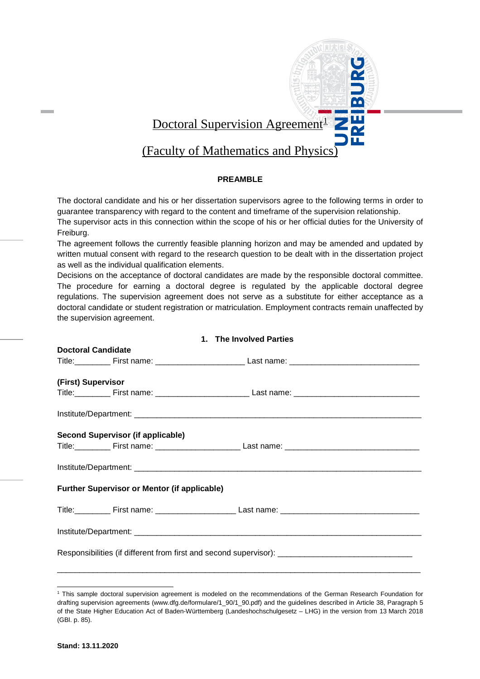

# **PREAMBLE**

The doctoral candidate and his or her dissertation supervisors agree to the following terms in order to guarantee transparency with regard to the content and timeframe of the supervision relationship. The supervisor acts in this connection within the scope of his or her official duties for the University of Freiburg.

The agreement follows the currently feasible planning horizon and may be amended and updated by written mutual consent with regard to the research question to be dealt with in the dissertation project as well as the individual qualification elements.

Decisions on the acceptance of doctoral candidates are made by the responsible doctoral committee. The procedure for earning a doctoral degree is regulated by the applicable doctoral degree regulations. The supervision agreement does not serve as a substitute for either acceptance as a doctoral candidate or student registration or matriculation. Employment contracts remain unaffected by the supervision agreement.

**1. The Involved Parties**

| $\blacksquare$ $\blacksquare$ $\blacksquare$ $\blacksquare$ $\blacksquare$ $\blacksquare$ $\blacksquare$ $\blacksquare$ $\blacksquare$ |  |                                                                                                                |
|----------------------------------------------------------------------------------------------------------------------------------------|--|----------------------------------------------------------------------------------------------------------------|
| <b>Doctoral Candidate</b>                                                                                                              |  |                                                                                                                |
|                                                                                                                                        |  | Title:______________First name: ________________________________Last name: ___________________________________ |
| (First) Supervisor                                                                                                                     |  |                                                                                                                |
|                                                                                                                                        |  |                                                                                                                |
|                                                                                                                                        |  |                                                                                                                |
| Second Supervisor (if applicable)                                                                                                      |  |                                                                                                                |
|                                                                                                                                        |  |                                                                                                                |
|                                                                                                                                        |  |                                                                                                                |
| <b>Further Supervisor or Mentor (if applicable)</b>                                                                                    |  |                                                                                                                |
|                                                                                                                                        |  |                                                                                                                |
|                                                                                                                                        |  |                                                                                                                |
| Responsibilities (if different from first and second supervisor): __________________________________                                   |  |                                                                                                                |
|                                                                                                                                        |  |                                                                                                                |

<span id="page-0-0"></span> $\overline{a}$ <sup>1</sup> This sample doctoral supervision agreement is modeled on the recommendations of the German Research Foundation for drafting supervision agreements (www.dfg.de/formulare/1\_90/1\_90.pdf) and the guidelines described in Article 38, Paragraph 5 of the State Higher Education Act of Baden-Württemberg (Landeshochschulgesetz – LHG) in the version from 13 March 2018 (GBl. p. 85).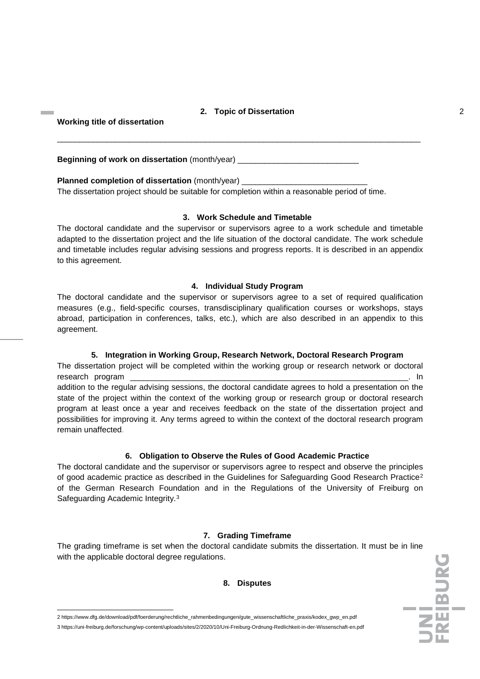## **2. Topic of Dissertation** 2

\_\_\_\_\_\_\_\_\_\_\_\_\_\_\_\_\_\_\_\_\_\_\_\_\_\_\_\_\_\_\_\_\_\_\_\_\_\_\_\_\_\_\_\_\_\_\_\_\_\_\_\_\_\_\_\_\_\_\_\_\_\_\_\_\_\_\_\_\_\_\_\_\_\_\_\_\_\_\_\_\_

## **Working title of dissertation**

remain unaffected.

 $\overline{a}$ 

**Beginning of work on dissertation** (month/year) \_\_\_\_\_\_\_\_\_\_\_\_\_\_\_\_\_\_\_\_\_\_\_\_\_\_\_\_\_\_\_\_

## **Planned completion of dissertation** (month/year)

The dissertation project should be suitable for completion within a reasonable period of time.

#### **3. Work Schedule and Timetable**

The doctoral candidate and the supervisor or supervisors agree to a work schedule and timetable adapted to the dissertation project and the life situation of the doctoral candidate. The work schedule and timetable includes regular advising sessions and progress reports. It is described in an appendix to this agreement.

## **4. Individual Study Program**

The doctoral candidate and the supervisor or supervisors agree to a set of required qualification measures (e.g., field-specific courses, transdisciplinary qualification courses or workshops, stays abroad, participation in conferences, talks, etc.), which are also described in an appendix to this agreement.

#### **5. Integration in Working Group, Research Network, Doctoral Research Program**

The dissertation project will be completed within the working group or research network or doctoral research program the control of the control of the control of the control of the control of the control of the control of the control of the control of the control of the control of the control of the control of the contro addition to the regular advising sessions, the doctoral candidate agrees to hold a presentation on the state of the project within the context of the working group or research group or doctoral research program at least once a year and receives feedback on the state of the dissertation project and possibilities for improving it. Any terms agreed to within the context of the doctoral research program

#### **6. Obligation to Observe the Rules of Good Academic Practice**

The doctoral candidate and the supervisor or supervisors agree to respect and observe the principles of good academic practice as described in the [Guidelines for Safeguarding Good Research Practice](https://www.dfg.de/download/pdf/foerderung/rechtliche_rahmenbedingungen/gute_wissenschaftliche_praxis/kodex_gwp_en.pdf)[2](#page-1-0) of the German Research Foundation and in the [Regulations of the University of Freiburg on](https://uni-freiburg.de/forschung/wp-content/uploads/sites/2/2020/10/Uni-Freiburg-Ordnung-Redlichkeit-in-der-Wissenschaft-en.pdf)  [Safeguarding Academic Integrity.](https://uni-freiburg.de/forschung/wp-content/uploads/sites/2/2020/10/Uni-Freiburg-Ordnung-Redlichkeit-in-der-Wissenschaft-en.pdf)[3](#page-1-1)

# **7. Grading Timeframe**

The grading timeframe is set when the doctoral candidate submits the dissertation. It must be in line with the applicable doctoral degree regulations.

#### **8. Disputes**

<span id="page-1-1"></span><span id="page-1-0"></span><sup>2</sup> https://www.dfg.de/download/pdf/foerderung/rechtliche\_rahmenbedingungen/gute\_wissenschaftliche\_praxis/kodex\_gwp\_en.pdf 3 https://uni-freiburg.de/forschung/wp-content/uploads/sites/2/2020/10/Uni-Freiburg-Ordnung-Redlichkeit-in-der-Wissenschaft-en.pdf